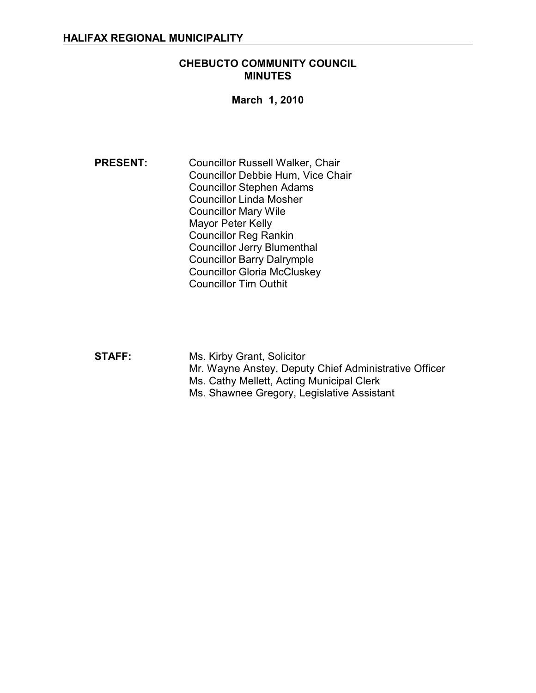# **CHEBUCTO COMMUNITY COUNCIL MINUTES**

#### **March 1, 2010**

**PRESENT:** Councillor Russell Walker, Chair Councillor Debbie Hum, Vice Chair Councillor Stephen Adams Councillor Linda Mosher Councillor Mary Wile Mayor Peter Kelly Councillor Reg Rankin Councillor Jerry Blumenthal Councillor Barry Dalrymple Councillor Gloria McCluskey Councillor Tim Outhit

**STAFF:** Ms. Kirby Grant, Solicitor Mr. Wayne Anstey, Deputy Chief Administrative Officer Ms. Cathy Mellett, Acting Municipal Clerk Ms. Shawnee Gregory, Legislative Assistant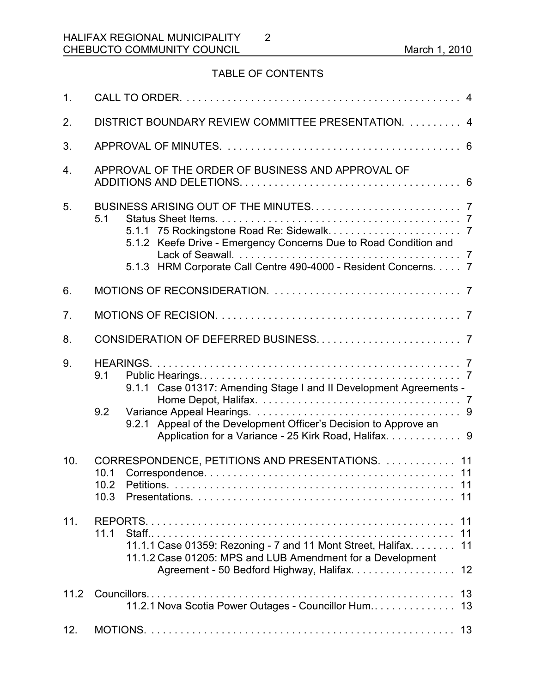# TABLE OF CONTENTS

2

| 1 <sub>1</sub> |                                                                                                                                                                                                               |
|----------------|---------------------------------------------------------------------------------------------------------------------------------------------------------------------------------------------------------------|
| 2.             | DISTRICT BOUNDARY REVIEW COMMITTEE PRESENTATION.  4                                                                                                                                                           |
| 3.             |                                                                                                                                                                                                               |
| 4.             | APPROVAL OF THE ORDER OF BUSINESS AND APPROVAL OF                                                                                                                                                             |
| 5.             | 5.1<br>5.1.2 Keefe Drive - Emergency Concerns Due to Road Condition and<br>5.1.3 HRM Corporate Call Centre 490-4000 - Resident Concerns. 7                                                                    |
| 6.             |                                                                                                                                                                                                               |
| 7 <sub>1</sub> |                                                                                                                                                                                                               |
| 8.             |                                                                                                                                                                                                               |
| 9.             | 9.1<br>9.1.1 Case 01317: Amending Stage I and II Development Agreements -<br>9.2<br>9.2.1 Appeal of the Development Officer's Decision to Approve an<br>Application for a Variance - 25 Kirk Road, Halifax. 9 |
| 10.            | CORRESPONDENCE, PETITIONS AND PRESENTATIONS.  11<br>10.2<br>10.3                                                                                                                                              |
| 11.            | 11.1<br>11<br>11.1.1 Case 01359: Rezoning - 7 and 11 Mont Street, Halifax. 11<br>11.1.2 Case 01205: MPS and LUB Amendment for a Development<br>Agreement - 50 Bedford Highway, Halifax.<br>12                 |
| 11.2           | 11.2.1 Nova Scotia Power Outages - Councillor Hum 13                                                                                                                                                          |
| 12.            |                                                                                                                                                                                                               |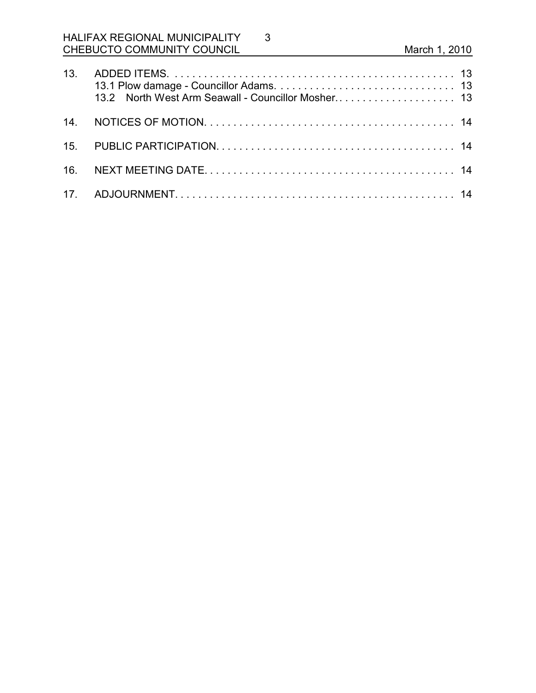3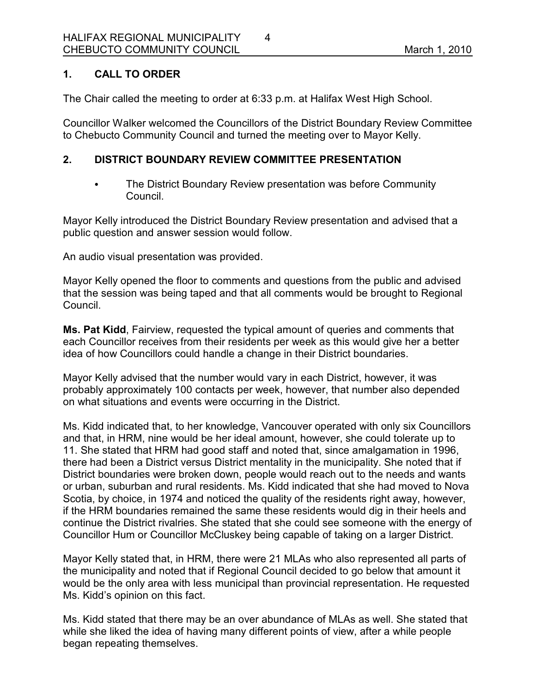# **1. CALL TO ORDER**

The Chair called the meeting to order at 6:33 p.m. at Halifax West High School.

Councillor Walker welcomed the Councillors of the District Boundary Review Committee to Chebucto Community Council and turned the meeting over to Mayor Kelly.

# **2. DISTRICT BOUNDARY REVIEW COMMITTEE PRESENTATION**

• The District Boundary Review presentation was before Community Council.

Mayor Kelly introduced the District Boundary Review presentation and advised that a public question and answer session would follow.

An audio visual presentation was provided.

Mayor Kelly opened the floor to comments and questions from the public and advised that the session was being taped and that all comments would be brought to Regional Council.

**Ms. Pat Kidd**, Fairview, requested the typical amount of queries and comments that each Councillor receives from their residents per week as this would give her a better idea of how Councillors could handle a change in their District boundaries.

Mayor Kelly advised that the number would vary in each District, however, it was probably approximately 100 contacts per week, however, that number also depended on what situations and events were occurring in the District.

Ms. Kidd indicated that, to her knowledge, Vancouver operated with only six Councillors and that, in HRM, nine would be her ideal amount, however, she could tolerate up to 11. She stated that HRM had good staff and noted that, since amalgamation in 1996, there had been a District versus District mentality in the municipality. She noted that if District boundaries were broken down, people would reach out to the needs and wants or urban, suburban and rural residents. Ms. Kidd indicated that she had moved to Nova Scotia, by choice, in 1974 and noticed the quality of the residents right away, however, if the HRM boundaries remained the same these residents would dig in their heels and continue the District rivalries. She stated that she could see someone with the energy of Councillor Hum or Councillor McCluskey being capable of taking on a larger District.

Mayor Kelly stated that, in HRM, there were 21 MLAs who also represented all parts of the municipality and noted that if Regional Council decided to go below that amount it would be the only area with less municipal than provincial representation. He requested Ms. Kidd's opinion on this fact.

Ms. Kidd stated that there may be an over abundance of MLAs as well. She stated that while she liked the idea of having many different points of view, after a while people began repeating themselves.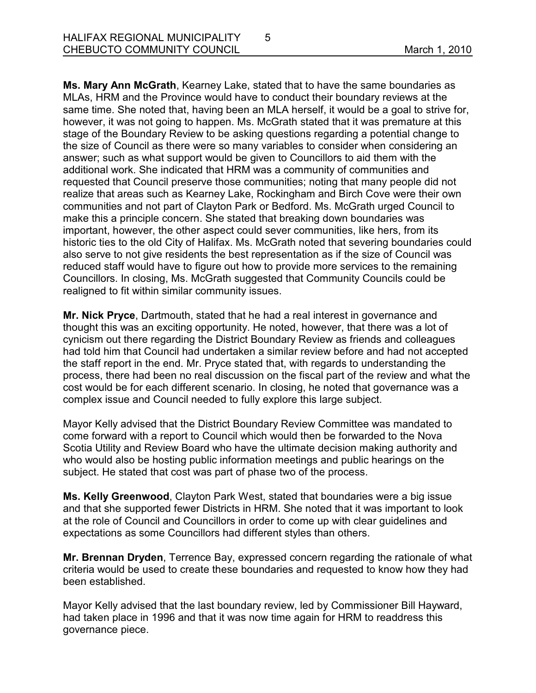**Ms. Mary Ann McGrath**, Kearney Lake, stated that to have the same boundaries as MLAs, HRM and the Province would have to conduct their boundary reviews at the same time. She noted that, having been an MLA herself, it would be a goal to strive for, however, it was not going to happen. Ms. McGrath stated that it was premature at this stage of the Boundary Review to be asking questions regarding a potential change to the size of Council as there were so many variables to consider when considering an answer; such as what support would be given to Councillors to aid them with the additional work. She indicated that HRM was a community of communities and requested that Council preserve those communities; noting that many people did not realize that areas such as Kearney Lake, Rockingham and Birch Cove were their own communities and not part of Clayton Park or Bedford. Ms. McGrath urged Council to make this a principle concern. She stated that breaking down boundaries was important, however, the other aspect could sever communities, like hers, from its historic ties to the old City of Halifax. Ms. McGrath noted that severing boundaries could also serve to not give residents the best representation as if the size of Council was reduced staff would have to figure out how to provide more services to the remaining Councillors. In closing, Ms. McGrath suggested that Community Councils could be realigned to fit within similar community issues.

**Mr. Nick Pryce**, Dartmouth, stated that he had a real interest in governance and thought this was an exciting opportunity. He noted, however, that there was a lot of cynicism out there regarding the District Boundary Review as friends and colleagues had told him that Council had undertaken a similar review before and had not accepted the staff report in the end. Mr. Pryce stated that, with regards to understanding the process, there had been no real discussion on the fiscal part of the review and what the cost would be for each different scenario. In closing, he noted that governance was a complex issue and Council needed to fully explore this large subject.

Mayor Kelly advised that the District Boundary Review Committee was mandated to come forward with a report to Council which would then be forwarded to the Nova Scotia Utility and Review Board who have the ultimate decision making authority and who would also be hosting public information meetings and public hearings on the subject. He stated that cost was part of phase two of the process.

**Ms. Kelly Greenwood**, Clayton Park West, stated that boundaries were a big issue and that she supported fewer Districts in HRM. She noted that it was important to look at the role of Council and Councillors in order to come up with clear guidelines and expectations as some Councillors had different styles than others.

**Mr. Brennan Dryden**, Terrence Bay, expressed concern regarding the rationale of what criteria would be used to create these boundaries and requested to know how they had been established.

Mayor Kelly advised that the last boundary review, led by Commissioner Bill Hayward, had taken place in 1996 and that it was now time again for HRM to readdress this governance piece.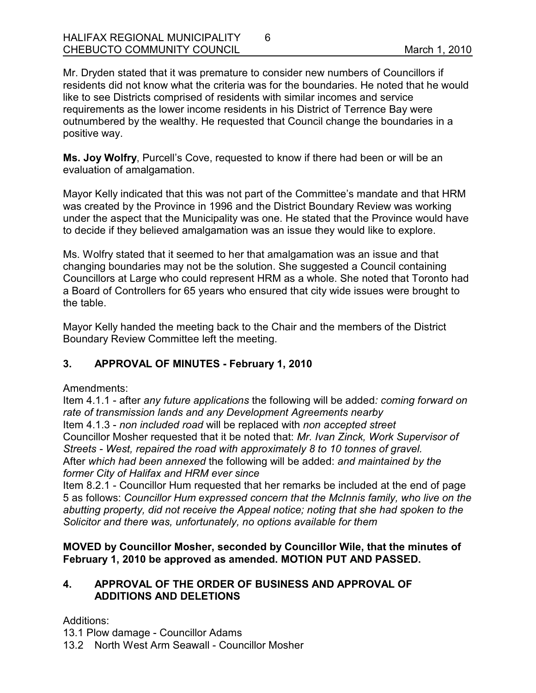Mr. Dryden stated that it was premature to consider new numbers of Councillors if residents did not know what the criteria was for the boundaries. He noted that he would like to see Districts comprised of residents with similar incomes and service requirements as the lower income residents in his District of Terrence Bay were outnumbered by the wealthy. He requested that Council change the boundaries in a positive way.

**Ms. Joy Wolfry**, Purcell's Cove, requested to know if there had been or will be an evaluation of amalgamation.

Mayor Kelly indicated that this was not part of the Committee's mandate and that HRM was created by the Province in 1996 and the District Boundary Review was working under the aspect that the Municipality was one. He stated that the Province would have to decide if they believed amalgamation was an issue they would like to explore.

Ms. Wolfry stated that it seemed to her that amalgamation was an issue and that changing boundaries may not be the solution. She suggested a Council containing Councillors at Large who could represent HRM as a whole. She noted that Toronto had a Board of Controllers for 65 years who ensured that city wide issues were brought to the table.

Mayor Kelly handed the meeting back to the Chair and the members of the District Boundary Review Committee left the meeting.

# **3. APPROVAL OF MINUTES - February 1, 2010**

Amendments:

Item 4.1.1 - after *any future applications* the following will be added*: coming forward on rate of transmission lands and any Development Agreements nearby* Item 4.1.3 - *non included road* will be replaced with *non accepted street* Councillor Mosher requested that it be noted that: *Mr. Ivan Zinck, Work Supervisor of Streets - West, repaired the road with approximately 8 to 10 tonnes of gravel.* After *which had been annexed* the following will be added: *and maintained by the former City of Halifax and HRM ever since* 

Item 8.2.1 - Councillor Hum requested that her remarks be included at the end of page 5 as follows: *Councillor Hum expressed concern that the McInnis family, who live on the abutting property, did not receive the Appeal notice; noting that she had spoken to the Solicitor and there was, unfortunately, no options available for them*

# **MOVED by Councillor Mosher, seconded by Councillor Wile, that the minutes of February 1, 2010 be approved as amended. MOTION PUT AND PASSED.**

# **4. APPROVAL OF THE ORDER OF BUSINESS AND APPROVAL OF ADDITIONS AND DELETIONS**

Additions:

13.1 Plow damage - Councillor Adams

13.2 North West Arm Seawall - Councillor Mosher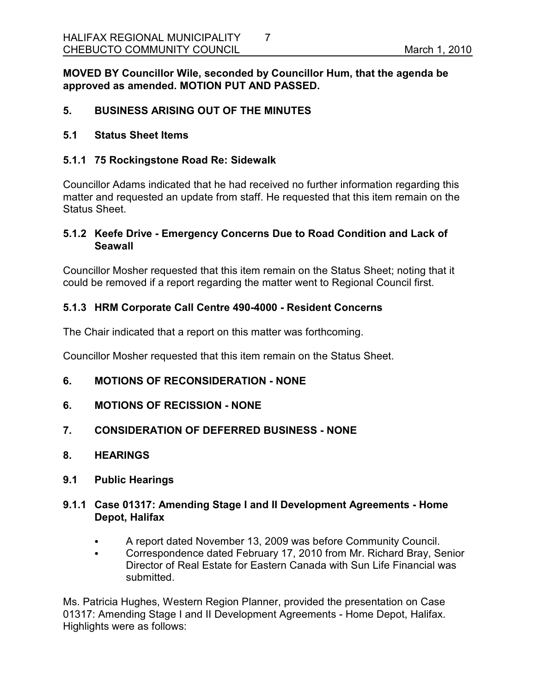**MOVED BY Councillor Wile, seconded by Councillor Hum, that the agenda be approved as amended. MOTION PUT AND PASSED.** 

# **5. BUSINESS ARISING OUT OF THE MINUTES**

#### **5.1 Status Sheet Items**

#### **5.1.1 75 Rockingstone Road Re: Sidewalk**

Councillor Adams indicated that he had received no further information regarding this matter and requested an update from staff. He requested that this item remain on the Status Sheet.

#### **5.1.2 Keefe Drive - Emergency Concerns Due to Road Condition and Lack of Seawall**

Councillor Mosher requested that this item remain on the Status Sheet; noting that it could be removed if a report regarding the matter went to Regional Council first.

#### **5.1.3 HRM Corporate Call Centre 490-4000 - Resident Concerns**

The Chair indicated that a report on this matter was forthcoming.

Councillor Mosher requested that this item remain on the Status Sheet.

#### **6. MOTIONS OF RECONSIDERATION - NONE**

- **6. MOTIONS OF RECISSION NONE**
- **7. CONSIDERATION OF DEFERRED BUSINESS NONE**
- **8. HEARINGS**
- **9.1 Public Hearings**

# **9.1.1 Case 01317: Amending Stage I and II Development Agreements - Home Depot, Halifax**

- A report dated November 13, 2009 was before Community Council.
- Correspondence dated February 17, 2010 from Mr. Richard Bray, Senior Director of Real Estate for Eastern Canada with Sun Life Financial was submitted.

Ms. Patricia Hughes, Western Region Planner, provided the presentation on Case 01317: Amending Stage I and II Development Agreements - Home Depot, Halifax. Highlights were as follows: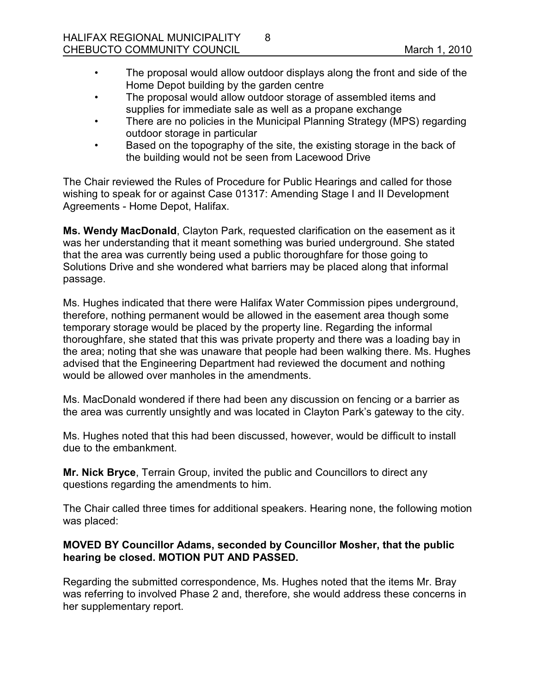- The proposal would allow outdoor displays along the front and side of the Home Depot building by the garden centre
- The proposal would allow outdoor storage of assembled items and supplies for immediate sale as well as a propane exchange

8

- There are no policies in the Municipal Planning Strategy (MPS) regarding outdoor storage in particular
- Based on the topography of the site, the existing storage in the back of the building would not be seen from Lacewood Drive

The Chair reviewed the Rules of Procedure for Public Hearings and called for those wishing to speak for or against Case 01317: Amending Stage I and II Development Agreements - Home Depot, Halifax.

**Ms. Wendy MacDonald**, Clayton Park, requested clarification on the easement as it was her understanding that it meant something was buried underground. She stated that the area was currently being used a public thoroughfare for those going to Solutions Drive and she wondered what barriers may be placed along that informal passage.

Ms. Hughes indicated that there were Halifax Water Commission pipes underground, therefore, nothing permanent would be allowed in the easement area though some temporary storage would be placed by the property line. Regarding the informal thoroughfare, she stated that this was private property and there was a loading bay in the area; noting that she was unaware that people had been walking there. Ms. Hughes advised that the Engineering Department had reviewed the document and nothing would be allowed over manholes in the amendments.

Ms. MacDonald wondered if there had been any discussion on fencing or a barrier as the area was currently unsightly and was located in Clayton Park's gateway to the city.

Ms. Hughes noted that this had been discussed, however, would be difficult to install due to the embankment.

**Mr. Nick Bryce**, Terrain Group, invited the public and Councillors to direct any questions regarding the amendments to him.

The Chair called three times for additional speakers. Hearing none, the following motion was placed:

# **MOVED BY Councillor Adams, seconded by Councillor Mosher, that the public hearing be closed. MOTION PUT AND PASSED.**

Regarding the submitted correspondence, Ms. Hughes noted that the items Mr. Bray was referring to involved Phase 2 and, therefore, she would address these concerns in her supplementary report.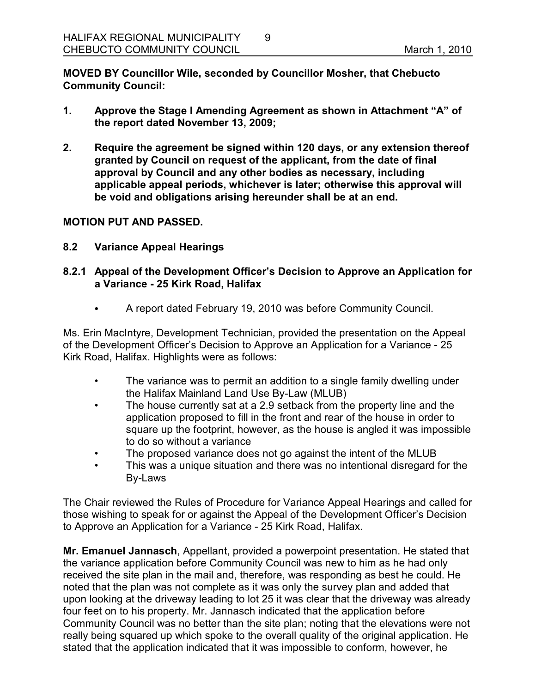**MOVED BY Councillor Wile, seconded by Councillor Mosher, that Chebucto Community Council:**

**1. Approve the Stage I Amending Agreement as shown in Attachment "A" of the report dated November 13, 2009;**

9

**2. Require the agreement be signed within 120 days, or any extension thereof granted by Council on request of the applicant, from the date of final approval by Council and any other bodies as necessary, including applicable appeal periods, whichever is later; otherwise this approval will be void and obligations arising hereunder shall be at an end.** 

#### **MOTION PUT AND PASSED.**

**8.2 Variance Appeal Hearings**

# **8.2.1 Appeal of the Development Officer's Decision to Approve an Application for a Variance - 25 Kirk Road, Halifax**

A report dated February 19, 2010 was before Community Council.

Ms. Erin MacIntyre, Development Technician, provided the presentation on the Appeal of the Development Officer's Decision to Approve an Application for a Variance - 25 Kirk Road, Halifax. Highlights were as follows:

- The variance was to permit an addition to a single family dwelling under the Halifax Mainland Land Use By-Law (MLUB)
- The house currently sat at a 2.9 setback from the property line and the application proposed to fill in the front and rear of the house in order to square up the footprint, however, as the house is angled it was impossible to do so without a variance
- The proposed variance does not go against the intent of the MLUB
- This was a unique situation and there was no intentional disregard for the By-Laws

The Chair reviewed the Rules of Procedure for Variance Appeal Hearings and called for those wishing to speak for or against the Appeal of the Development Officer's Decision to Approve an Application for a Variance - 25 Kirk Road, Halifax.

**Mr. Emanuel Jannasch**, Appellant, provided a powerpoint presentation. He stated that the variance application before Community Council was new to him as he had only received the site plan in the mail and, therefore, was responding as best he could. He noted that the plan was not complete as it was only the survey plan and added that upon looking at the driveway leading to lot 25 it was clear that the driveway was already four feet on to his property. Mr. Jannasch indicated that the application before Community Council was no better than the site plan; noting that the elevations were not really being squared up which spoke to the overall quality of the original application. He stated that the application indicated that it was impossible to conform, however, he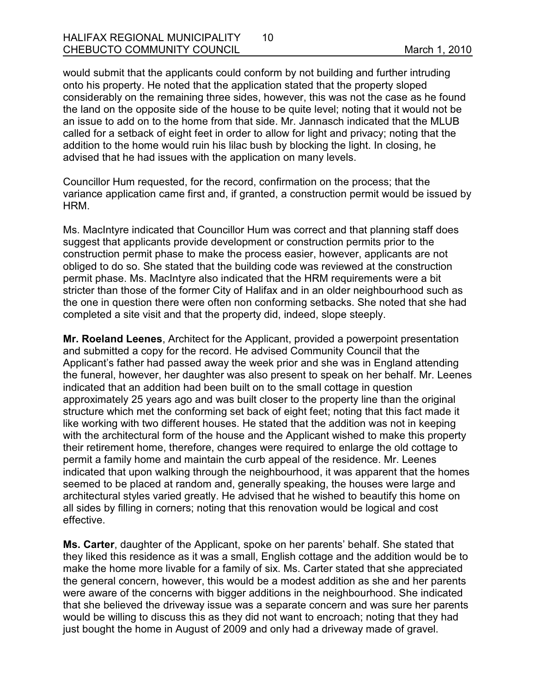would submit that the applicants could conform by not building and further intruding onto his property. He noted that the application stated that the property sloped considerably on the remaining three sides, however, this was not the case as he found the land on the opposite side of the house to be quite level; noting that it would not be an issue to add on to the home from that side. Mr. Jannasch indicated that the MLUB called for a setback of eight feet in order to allow for light and privacy; noting that the addition to the home would ruin his lilac bush by blocking the light. In closing, he advised that he had issues with the application on many levels.

Councillor Hum requested, for the record, confirmation on the process; that the variance application came first and, if granted, a construction permit would be issued by HRM.

Ms. MacIntyre indicated that Councillor Hum was correct and that planning staff does suggest that applicants provide development or construction permits prior to the construction permit phase to make the process easier, however, applicants are not obliged to do so. She stated that the building code was reviewed at the construction permit phase. Ms. MacIntyre also indicated that the HRM requirements were a bit stricter than those of the former City of Halifax and in an older neighbourhood such as the one in question there were often non conforming setbacks. She noted that she had completed a site visit and that the property did, indeed, slope steeply.

**Mr. Roeland Leenes**, Architect for the Applicant, provided a powerpoint presentation and submitted a copy for the record. He advised Community Council that the Applicant's father had passed away the week prior and she was in England attending the funeral, however, her daughter was also present to speak on her behalf. Mr. Leenes indicated that an addition had been built on to the small cottage in question approximately 25 years ago and was built closer to the property line than the original structure which met the conforming set back of eight feet; noting that this fact made it like working with two different houses. He stated that the addition was not in keeping with the architectural form of the house and the Applicant wished to make this property their retirement home, therefore, changes were required to enlarge the old cottage to permit a family home and maintain the curb appeal of the residence. Mr. Leenes indicated that upon walking through the neighbourhood, it was apparent that the homes seemed to be placed at random and, generally speaking, the houses were large and architectural styles varied greatly. He advised that he wished to beautify this home on all sides by filling in corners; noting that this renovation would be logical and cost effective.

**Ms. Carter**, daughter of the Applicant, spoke on her parents' behalf. She stated that they liked this residence as it was a small, English cottage and the addition would be to make the home more livable for a family of six. Ms. Carter stated that she appreciated the general concern, however, this would be a modest addition as she and her parents were aware of the concerns with bigger additions in the neighbourhood. She indicated that she believed the driveway issue was a separate concern and was sure her parents would be willing to discuss this as they did not want to encroach; noting that they had just bought the home in August of 2009 and only had a driveway made of gravel.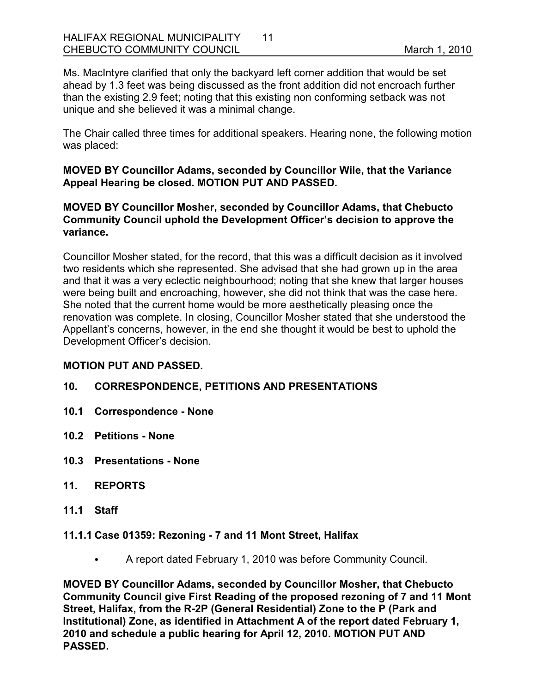Ms. MacIntyre clarified that only the backyard left corner addition that would be set ahead by 1.3 feet was being discussed as the front addition did not encroach further than the existing 2.9 feet; noting that this existing non conforming setback was not unique and she believed it was a minimal change.

The Chair called three times for additional speakers. Hearing none, the following motion was placed:

**MOVED BY Councillor Adams, seconded by Councillor Wile, that the Variance Appeal Hearing be closed. MOTION PUT AND PASSED.** 

## **MOVED BY Councillor Mosher, seconded by Councillor Adams, that Chebucto Community Council uphold the Development Officer's decision to approve the variance.**

Councillor Mosher stated, for the record, that this was a difficult decision as it involved two residents which she represented. She advised that she had grown up in the area and that it was a very eclectic neighbourhood; noting that she knew that larger houses were being built and encroaching, however, she did not think that was the case here. She noted that the current home would be more aesthetically pleasing once the renovation was complete. In closing, Councillor Mosher stated that she understood the Appellant's concerns, however, in the end she thought it would be best to uphold the Development Officer's decision.

#### **MOTION PUT AND PASSED.**

# **10. CORRESPONDENCE, PETITIONS AND PRESENTATIONS**

- **10.1 Correspondence None**
- **10.2 Petitions None**
- **10.3 Presentations None**
- **11. REPORTS**
- **11.1 Staff**

#### **11.1.1 Case 01359: Rezoning - 7 and 11 Mont Street, Halifax**

• A report dated February 1, 2010 was before Community Council.

**MOVED BY Councillor Adams, seconded by Councillor Mosher, that Chebucto Community Council give First Reading of the proposed rezoning of 7 and 11 Mont Street, Halifax, from the R-2P (General Residential) Zone to the P (Park and Institutional) Zone, as identified in Attachment A of the report dated February 1, 2010 and schedule a public hearing for April 12, 2010. MOTION PUT AND PASSED.**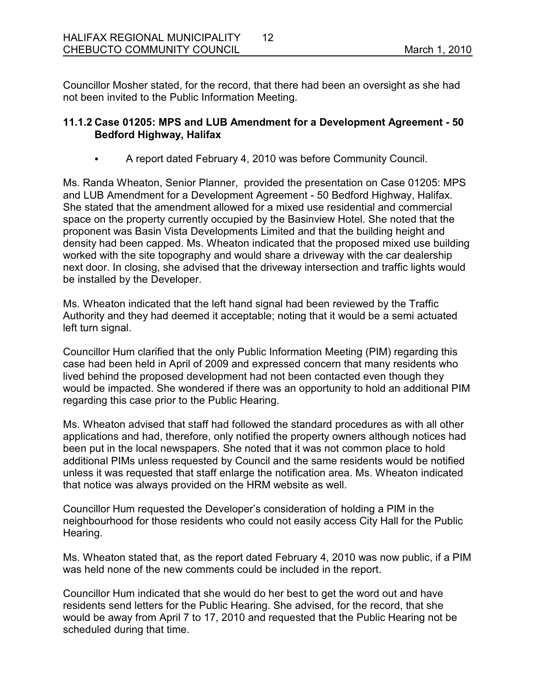Councillor Mosher stated, for the record, that there had been an oversight as she had not been invited to the Public Information Meeting.

# **11.1.2 Case 01205: MPS and LUB Amendment for a Development Agreement - 50 Bedford Highway, Halifax**

A report dated February 4, 2010 was before Community Council.

Ms. Randa Wheaton, Senior Planner, provided the presentation on Case 01205: MPS and LUB Amendment for a Development Agreement - 50 Bedford Highway, Halifax. She stated that the amendment allowed for a mixed use residential and commercial space on the property currently occupied by the Basinview Hotel. She noted that the proponent was Basin Vista Developments Limited and that the building height and density had been capped. Ms. Wheaton indicated that the proposed mixed use building worked with the site topography and would share a driveway with the car dealership next door. In closing, she advised that the driveway intersection and traffic lights would be installed by the Developer.

Ms. Wheaton indicated that the left hand signal had been reviewed by the Traffic Authority and they had deemed it acceptable; noting that it would be a semi actuated left turn signal.

Councillor Hum clarified that the only Public Information Meeting (PIM) regarding this case had been held in April of 2009 and expressed concern that many residents who lived behind the proposed development had not been contacted even though they would be impacted. She wondered if there was an opportunity to hold an additional PIM regarding this case prior to the Public Hearing.

Ms. Wheaton advised that staff had followed the standard procedures as with all other applications and had, therefore, only notified the property owners although notices had been put in the local newspapers. She noted that it was not common place to hold additional PIMs unless requested by Council and the same residents would be notified unless it was requested that staff enlarge the notification area. Ms. Wheaton indicated that notice was always provided on the HRM website as well.

Councillor Hum requested the Developer's consideration of holding a PIM in the neighbourhood for those residents who could not easily access City Hall for the Public Hearing.

Ms. Wheaton stated that, as the report dated February 4, 2010 was now public, if a PIM was held none of the new comments could be included in the report.

Councillor Hum indicated that she would do her best to get the word out and have residents send letters for the Public Hearing. She advised, for the record, that she would be away from April 7 to 17, 2010 and requested that the Public Hearing not be scheduled during that time.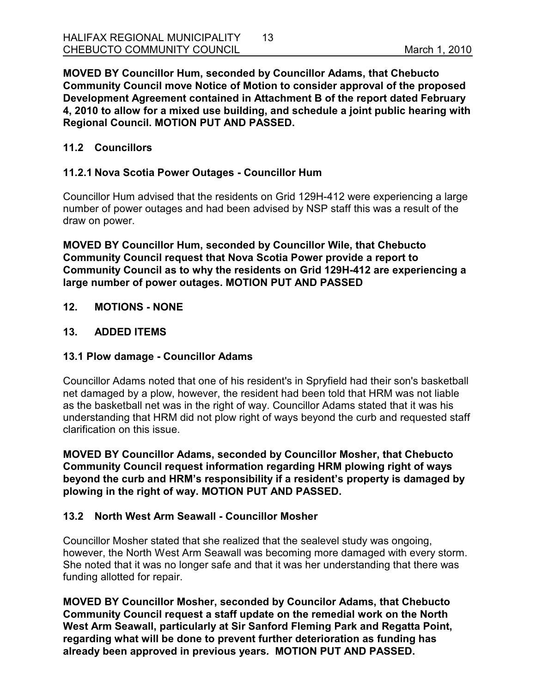**MOVED BY Councillor Hum, seconded by Councillor Adams, that Chebucto Community Council move Notice of Motion to consider approval of the proposed Development Agreement contained in Attachment B of the report dated February 4, 2010 to allow for a mixed use building, and schedule a joint public hearing with Regional Council. MOTION PUT AND PASSED.** 

# **11.2 Councillors**

# **11.2.1 Nova Scotia Power Outages - Councillor Hum**

Councillor Hum advised that the residents on Grid 129H-412 were experiencing a large number of power outages and had been advised by NSP staff this was a result of the draw on power.

**MOVED BY Councillor Hum, seconded by Councillor Wile, that Chebucto Community Council request that Nova Scotia Power provide a report to Community Council as to why the residents on Grid 129H-412 are experiencing a large number of power outages. MOTION PUT AND PASSED**

#### **12. MOTIONS - NONE**

#### **13. ADDED ITEMS**

#### **13.1 Plow damage - Councillor Adams**

Councillor Adams noted that one of his resident's in Spryfield had their son's basketball net damaged by a plow, however, the resident had been told that HRM was not liable as the basketball net was in the right of way. Councillor Adams stated that it was his understanding that HRM did not plow right of ways beyond the curb and requested staff clarification on this issue.

**MOVED BY Councillor Adams, seconded by Councillor Mosher, that Chebucto Community Council request information regarding HRM plowing right of ways beyond the curb and HRM's responsibility if a resident's property is damaged by plowing in the right of way. MOTION PUT AND PASSED.** 

# **13.2 North West Arm Seawall - Councillor Mosher**

Councillor Mosher stated that she realized that the sealevel study was ongoing, however, the North West Arm Seawall was becoming more damaged with every storm. She noted that it was no longer safe and that it was her understanding that there was funding allotted for repair.

**MOVED BY Councillor Mosher, seconded by Councilor Adams, that Chebucto Community Council request a staff update on the remedial work on the North West Arm Seawall, particularly at Sir Sanford Fleming Park and Regatta Point, regarding what will be done to prevent further deterioration as funding has already been approved in previous years***.* **MOTION PUT AND PASSED.**